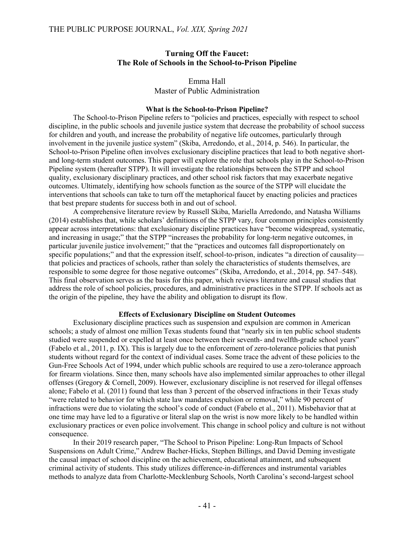## **Turning Off the Faucet: The Role of Schools in the School-to-Prison Pipeline**

### Emma Hall Master of Public Administration

### **What is the School-to-Prison Pipeline?**

The School-to-Prison Pipeline refers to "policies and practices, especially with respect to school discipline, in the public schools and juvenile justice system that decrease the probability of school success for children and youth, and increase the probability of negative life outcomes, particularly through involvement in the juvenile justice system" (Skiba, Arredondo, et al., 2014, p. 546). In particular, the School-to-Prison Pipeline often involves exclusionary discipline practices that lead to both negative shortand long-term student outcomes. This paper will explore the role that schools play in the School-to-Prison Pipeline system (hereafter STPP). It will investigate the relationships between the STPP and school quality, exclusionary disciplinary practices, and other school risk factors that may exacerbate negative outcomes. Ultimately, identifying how schools function as the source of the STPP will elucidate the interventions that schools can take to turn off the metaphorical faucet by enacting policies and practices that best prepare students for success both in and out of school.

A comprehensive literature review by Russell Skiba, Mariella Arredondo, and Natasha Williams (2014) establishes that, while scholars' definitions of the STPP vary, four common principles consistently appear across interpretations: that exclusionary discipline practices have "become widespread, systematic, and increasing in usage;" that the STPP "increases the probability for long-term negative outcomes, in particular juvenile justice involvement;" that the "practices and outcomes fall disproportionately on specific populations;" and that the expression itself, school-to-prison, indicates "a direction of causality that policies and practices of schools, rather than solely the characteristics of students themselves, are responsible to some degree for those negative outcomes" (Skiba, Arredondo, et al., 2014, pp. 547–548). This final observation serves as the basis for this paper, which reviews literature and causal studies that address the role of school policies, procedures, and administrative practices in the STPP. If schools act as the origin of the pipeline, they have the ability and obligation to disrupt its flow.

## **Effects of Exclusionary Discipline on Student Outcomes**

Exclusionary discipline practices such as suspension and expulsion are common in American schools; a study of almost one million Texas students found that "nearly six in ten public school students studied were suspended or expelled at least once between their seventh- and twelfth-grade school years" (Fabelo et al., 2011, p. IX). This is largely due to the enforcement of zero-tolerance policies that punish students without regard for the context of individual cases. Some trace the advent of these policies to the Gun-Free Schools Act of 1994, under which public schools are required to use a zero-tolerance approach for firearm violations. Since then, many schools have also implemented similar approaches to other illegal offenses (Gregory & Cornell, 2009). However, exclusionary discipline is not reserved for illegal offenses alone; Fabelo et al. (2011) found that less than 3 percent of the observed infractions in their Texas study "were related to behavior for which state law mandates expulsion or removal," while 90 percent of infractions were due to violating the school's code of conduct (Fabelo et al., 2011). Misbehavior that at one time may have led to a figurative or literal slap on the wrist is now more likely to be handled within exclusionary practices or even police involvement. This change in school policy and culture is not without consequence.

In their 2019 research paper, "The School to Prison Pipeline: Long-Run Impacts of School Suspensions on Adult Crime," Andrew Bacher-Hicks, Stephen Billings, and David Deming investigate the causal impact of school discipline on the achievement, educational attainment, and subsequent criminal activity of students. This study utilizes difference-in-differences and instrumental variables methods to analyze data from Charlotte-Mecklenburg Schools, North Carolina's second-largest school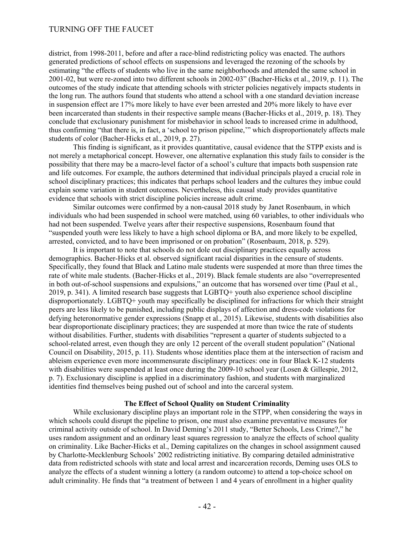# TURNING OFF THE FAUCET

district, from 1998-2011, before and after a race-blind redistricting policy was enacted. The authors generated predictions of school effects on suspensions and leveraged the rezoning of the schools by estimating "the effects of students who live in the same neighborhoods and attended the same school in 2001-02, but were re-zoned into two different schools in 2002-03" (Bacher-Hicks et al., 2019, p. 11). The outcomes of the study indicate that attending schools with stricter policies negatively impacts students in the long run. The authors found that students who attend a school with a one standard deviation increase in suspension effect are 17% more likely to have ever been arrested and 20% more likely to have ever been incarcerated than students in their respective sample means (Bacher-Hicks et al., 2019, p. 18). They conclude that exclusionary punishment for misbehavior in school leads to increased crime in adulthood, thus confirming "that there is, in fact, a 'school to prison pipeline,'" which disproportionately affects male students of color (Bacher-Hicks et al., 2019, p. 27).

This finding is significant, as it provides quantitative, causal evidence that the STPP exists and is not merely a metaphorical concept. However, one alternative explanation this study fails to consider is the possibility that there may be a macro-level factor of a school's culture that impacts both suspension rate and life outcomes. For example, the authors determined that individual principals played a crucial role in school disciplinary practices; this indicates that perhaps school leaders and the cultures they imbue could explain some variation in student outcomes. Nevertheless, this causal study provides quantitative evidence that schools with strict discipline policies increase adult crime.

Similar outcomes were confirmed by a non-causal 2018 study by Janet Rosenbaum, in which individuals who had been suspended in school were matched, using 60 variables, to other individuals who had not been suspended. Twelve years after their respective suspensions, Rosenbaum found that "suspended youth were less likely to have a high school diploma or BA, and more likely to be expelled, arrested, convicted, and to have been imprisoned or on probation" (Rosenbaum, 2018, p. 529).

It is important to note that schools do not dole out disciplinary practices equally across demographics. Bacher-Hicks et al. observed significant racial disparities in the censure of students. Specifically, they found that Black and Latino male students were suspended at more than three times the rate of white male students. (Bacher-Hicks et al., 2019). Black female students are also "overrepresented in both out-of-school suspensions and expulsions," an outcome that has worsened over time (Paul et al., 2019, p. 341). A limited research base suggests that LGBTQ+ youth also experience school discipline disproportionately. LGBTQ+ youth may specifically be disciplined for infractions for which their straight peers are less likely to be punished, including public displays of affection and dress-code violations for defying heteronormative gender expressions (Snapp et al., 2015). Likewise, students with disabilities also bear disproportionate disciplinary practices; they are suspended at more than twice the rate of students without disabilities. Further, students with disabilities "represent a quarter of students subjected to a school-related arrest, even though they are only 12 percent of the overall student population" (National Council on Disability, 2015, p. 11). Students whose identities place them at the intersection of racism and ableism experience even more incommensurate disciplinary practices: one in four Black K-12 students with disabilities were suspended at least once during the 2009-10 school year (Losen & Gillespie, 2012, p. 7). Exclusionary discipline is applied in a discriminatory fashion, and students with marginalized identities find themselves being pushed out of school and into the carceral system.

#### **The Effect of School Quality on Student Criminality**

While exclusionary discipline plays an important role in the STPP, when considering the ways in which schools could disrupt the pipeline to prison, one must also examine preventative measures for criminal activity outside of school. In David Deming's 2011 study, "Better Schools, Less Crime?," he uses random assignment and an ordinary least squares regression to analyze the effects of school quality on criminality. Like Bacher-Hicks et al., Deming capitalizes on the changes in school assignment caused by Charlotte-Mecklenburg Schools' 2002 redistricting initiative. By comparing detailed administrative data from redistricted schools with state and local arrest and incarceration records, Deming uses OLS to analyze the effects of a student winning a lottery (a random outcome) to attend a top-choice school on adult criminality. He finds that "a treatment of between 1 and 4 years of enrollment in a higher quality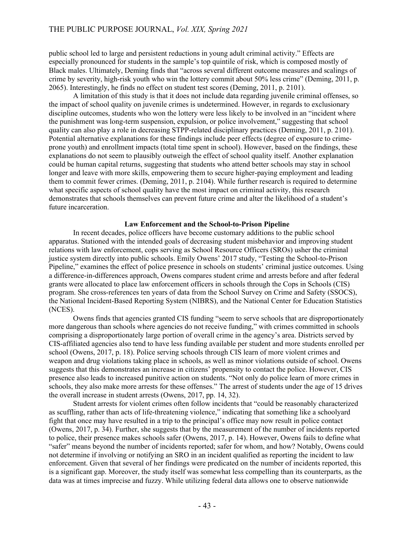public school led to large and persistent reductions in young adult criminal activity." Effects are especially pronounced for students in the sample's top quintile of risk, which is composed mostly of Black males. Ultimately, Deming finds that "across several different outcome measures and scalings of crime by severity, high-risk youth who win the lottery commit about 50% less crime" (Deming, 2011, p. 2065). Interestingly, he finds no effect on student test scores (Deming, 2011, p. 2101).

A limitation of this study is that it does not include data regarding juvenile criminal offenses, so the impact of school quality on juvenile crimes is undetermined. However, in regards to exclusionary discipline outcomes, students who won the lottery were less likely to be involved in an "incident where the punishment was long-term suspension, expulsion, or police involvement," suggesting that school quality can also play a role in decreasing STPP-related disciplinary practices (Deming, 2011, p. 2101). Potential alternative explanations for these findings include peer effects (degree of exposure to crimeprone youth) and enrollment impacts (total time spent in school). However, based on the findings, these explanations do not seem to plausibly outweigh the effect of school quality itself. Another explanation could be human capital returns, suggesting that students who attend better schools may stay in school longer and leave with more skills, empowering them to secure higher-paying employment and leading them to commit fewer crimes. (Deming, 2011, p. 2104). While further research is required to determine what specific aspects of school quality have the most impact on criminal activity, this research demonstrates that schools themselves can prevent future crime and alter the likelihood of a student's future incarceration.

#### **Law Enforcement and the School-to-Prison Pipeline**

In recent decades, police officers have become customary additions to the public school apparatus. Stationed with the intended goals of decreasing student misbehavior and improving student relations with law enforcement, cops serving as School Resource Officers (SROs) usher the criminal justice system directly into public schools. Emily Owens' 2017 study, "Testing the School-to-Prison Pipeline," examines the effect of police presence in schools on students' criminal justice outcomes. Using a difference-in-differences approach, Owens compares student crime and arrests before and after federal grants were allocated to place law enforcement officers in schools through the Cops in Schools (CIS) program. She cross-references ten years of data from the School Survey on Crime and Safety (SSOCS), the National Incident-Based Reporting System (NIBRS), and the National Center for Education Statistics (NCES).

Owens finds that agencies granted CIS funding "seem to serve schools that are disproportionately more dangerous than schools where agencies do not receive funding," with crimes committed in schools comprising a disproportionately large portion of overall crime in the agency's area. Districts served by CIS-affiliated agencies also tend to have less funding available per student and more students enrolled per school (Owens, 2017, p. 18). Police serving schools through CIS learn of more violent crimes and weapon and drug violations taking place in schools, as well as minor violations outside of school. Owens suggests that this demonstrates an increase in citizens' propensity to contact the police. However, CIS presence also leads to increased punitive action on students. "Not only do police learn of more crimes in schools, they also make more arrests for these offenses." The arrest of students under the age of 15 drives the overall increase in student arrests (Owens, 2017, pp. 14, 32).

Student arrests for violent crimes often follow incidents that "could be reasonably characterized as scuffling, rather than acts of life-threatening violence," indicating that something like a schoolyard fight that once may have resulted in a trip to the principal's office may now result in police contact (Owens, 2017, p. 34). Further, she suggests that by the measurement of the number of incidents reported to police, their presence makes schools safer (Owens, 2017, p. 14). However, Owens fails to define what "safer" means beyond the number of incidents reported; safer for whom, and how? Notably, Owens could not determine if involving or notifying an SRO in an incident qualified as reporting the incident to law enforcement. Given that several of her findings were predicated on the number of incidents reported, this is a significant gap. Moreover, the study itself was somewhat less compelling than its counterparts, as the data was at times imprecise and fuzzy. While utilizing federal data allows one to observe nationwide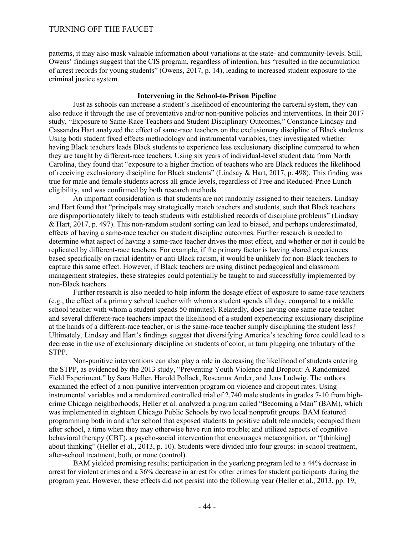patterns, it may also mask valuable information about variations at the state- and community-levels. Still, Owens' findings suggest that the CIS program, regardless of intention, has "resulted in the accumulation of arrest records for young students" (Owens, 2017, p. 14), leading to increased student exposure to the criminal justice system.

#### **Intervening in the School-to-Prison Pipeline**

Just as schools can increase a student's likelihood of encountering the carceral system, they can also reduce it through the use of preventative and/or non-punitive policies and interventions. In their 2017 study, "Exposure to Same-Race Teachers and Student Disciplinary Outcomes," Constance Lindsay and Cassandra Hart analyzed the effect of same-race teachers on the exclusionary discipline of Black students. Using both student fixed effects methodology and instrumental variables, they investigated whether having Black teachers leads Black students to experience less exclusionary discipline compared to when they are taught by different-race teachers. Using six years of individual-level student data from North Carolina, they found that "exposure to a higher fraction of teachers who are Black reduces the likelihood of receiving exclusionary discipline for Black students" (Lindsay & Hart, 2017, p. 498). This finding was true for male and female students across all grade levels, regardless of Free and Reduced-Price Lunch eligibility, and was confirmed by both research methods.

An important consideration is that students are not randomly assigned to their teachers. Lindsay and Hart found that "principals may strategically match teachers and students, such that Black teachers are disproportionately likely to teach students with established records of discipline problems" (Lindsay & Hart, 2017, p. 497). This non-random student sorting can lead to biased, and perhaps underestimated, effects of having a same-race teacher on student discipline outcomes. Further research is needed to determine what aspect of having a same-race teacher drives the most effect, and whether or not it could be replicated by different-race teachers. For example, if the primary factor is having shared experiences based specifically on racial identity or anti-Black racism, it would be unlikely for non-Black teachers to capture this same effect. However, if Black teachers are using distinct pedagogical and classroom management strategies, these strategies could potentially be taught to and successfully implemented by non-Black teachers.

Further research is also needed to help inform the dosage effect of exposure to same-race teachers (e.g., the effect of a primary school teacher with whom a student spends all day, compared to a middle school teacher with whom a student spends 50 minutes). Relatedly, does having one same-race teacher and several different-race teachers impact the likelihood of a student experiencing exclusionary discipline at the hands of a different-race teacher, or is the same-race teacher simply disciplining the student less? Ultimately, Lindsay and Hart's findings suggest that diversifying America's teaching force could lead to a decrease in the use of exclusionary discipline on students of color, in turn plugging one tributary of the STPP.

Non-punitive interventions can also play a role in decreasing the likelihood of students entering the STPP, as evidenced by the 2013 study, "Preventing Youth Violence and Dropout: A Randomized Field Experiment," by Sara Heller, Harold Pollack, Roseanna Ander, and Jens Ludwig. The authors examined the effect of a non-punitive intervention program on violence and dropout rates. Using instrumental variables and a randomized controlled trial of 2,740 male students in grades 7-10 from highcrime Chicago neighborhoods, Heller et al. analyzed a program called "Becoming a Man" (BAM), which was implemented in eighteen Chicago Public Schools by two local nonprofit groups. BAM featured programming both in and after school that exposed students to positive adult role models; occupied them after school, a time when they may otherwise have run into trouble; and utilized aspects of cognitive behavioral therapy (CBT), a psycho-social intervention that encourages metacognition, or "[thinking] about thinking" (Heller et al., 2013, p. 10). Students were divided into four groups: in-school treatment, after-school treatment, both, or none (control).

BAM yielded promising results; participation in the yearlong program led to a 44% decrease in arrest for violent crimes and a 36% decrease in arrest for other crimes for student participants during the program year. However, these effects did not persist into the following year (Heller et al., 2013, pp. 19,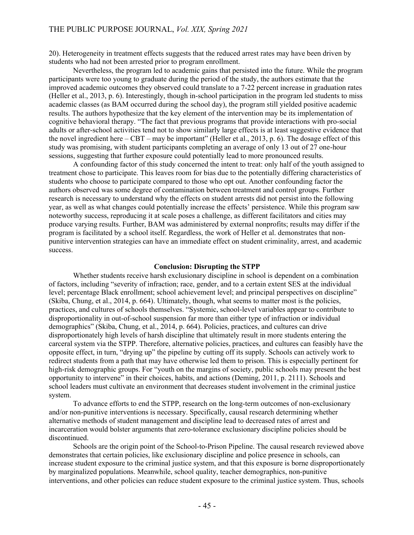20). Heterogeneity in treatment effects suggests that the reduced arrest rates may have been driven by students who had not been arrested prior to program enrollment.

Nevertheless, the program led to academic gains that persisted into the future. While the program participants were too young to graduate during the period of the study, the authors estimate that the improved academic outcomes they observed could translate to a 7-22 percent increase in graduation rates (Heller et al., 2013, p. 6). Interestingly, though in-school participation in the program led students to miss academic classes (as BAM occurred during the school day), the program still yielded positive academic results. The authors hypothesize that the key element of the intervention may be its implementation of cognitive behavioral therapy. "The fact that previous programs that provide interactions with pro-social adults or after-school activities tend not to show similarly large effects is at least suggestive evidence that the novel ingredient here – CBT – may be important" (Heller et al., 2013, p. 6). The dosage effect of this study was promising, with student participants completing an average of only 13 out of 27 one-hour sessions, suggesting that further exposure could potentially lead to more pronounced results.

A confounding factor of this study concerned the intent to treat: only half of the youth assigned to treatment chose to participate. This leaves room for bias due to the potentially differing characteristics of students who choose to participate compared to those who opt out. Another confounding factor the authors observed was some degree of contamination between treatment and control groups. Further research is necessary to understand why the effects on student arrests did not persist into the following year, as well as what changes could potentially increase the effects' persistence. While this program saw noteworthy success, reproducing it at scale poses a challenge, as different facilitators and cities may produce varying results. Further, BAM was administered by external nonprofits; results may differ if the program is facilitated by a school itself. Regardless, the work of Heller et al. demonstrates that nonpunitive intervention strategies can have an immediate effect on student criminality, arrest, and academic success.

#### **Conclusion: Disrupting the STPP**

Whether students receive harsh exclusionary discipline in school is dependent on a combination of factors, including "severity of infraction; race, gender, and to a certain extent SES at the individual level; percentage Black enrollment; school achievement level; and principal perspectives on discipline" (Skiba, Chung, et al., 2014, p. 664). Ultimately, though, what seems to matter most is the policies, practices, and cultures of schools themselves. "Systemic, school-level variables appear to contribute to disproportionality in out-of-school suspension far more than either type of infraction or individual demographics" (Skiba, Chung, et al., 2014, p. 664). Policies, practices, and cultures can drive disproportionately high levels of harsh discipline that ultimately result in more students entering the carceral system via the STPP. Therefore, alternative policies, practices, and cultures can feasibly have the opposite effect, in turn, "drying up" the pipeline by cutting off its supply. Schools can actively work to redirect students from a path that may have otherwise led them to prison. This is especially pertinent for high-risk demographic groups. For "youth on the margins of society, public schools may present the best opportunity to intervene" in their choices, habits, and actions (Deming, 2011, p. 2111). Schools and school leaders must cultivate an environment that decreases student involvement in the criminal justice system.

To advance efforts to end the STPP, research on the long-term outcomes of non-exclusionary and/or non-punitive interventions is necessary. Specifically, causal research determining whether alternative methods of student management and discipline lead to decreased rates of arrest and incarceration would bolster arguments that zero-tolerance exclusionary discipline policies should be discontinued.

Schools are the origin point of the School-to-Prison Pipeline. The causal research reviewed above demonstrates that certain policies, like exclusionary discipline and police presence in schools, can increase student exposure to the criminal justice system, and that this exposure is borne disproportionately by marginalized populations. Meanwhile, school quality, teacher demographics, non-punitive interventions, and other policies can reduce student exposure to the criminal justice system. Thus, schools